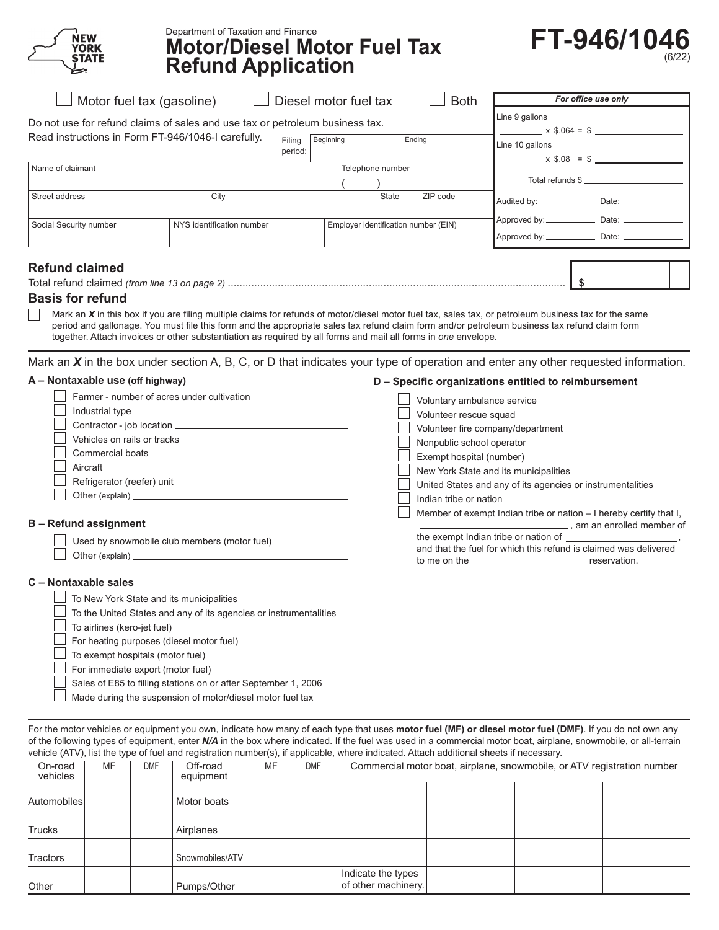

## Department of Taxation and Finance **Motor/Diesel Motor Fuel Tax Refund Application**



|                        | $\Box$ Motor fuel tax (gasoline) $\hphantom{\Box\hphantom{\Diamond}}\hphantom{\Diamond} \Box$ Diesel motor fuel tax                |                   |                  | <b>Both</b>                          | For office use only                                                    |
|------------------------|------------------------------------------------------------------------------------------------------------------------------------|-------------------|------------------|--------------------------------------|------------------------------------------------------------------------|
|                        | Do not use for refund claims of sales and use tax or petroleum business tax.<br>Read instructions in Form FT-946/1046-I carefully. | Filing<br>period: | Beginning        | Ending                               | Line 9 gallons<br>$x \$.064 = \$$<br>Line 10 gallons<br>$x$ \$.08 = \$ |
| Name of claimant       |                                                                                                                                    |                   | Telephone number |                                      | Total refunds \$                                                       |
| Street address         | City                                                                                                                               |                   |                  | ZIP code<br><b>State</b>             |                                                                        |
| Social Security number | NYS identification number                                                                                                          |                   |                  | Employer identification number (EIN) |                                                                        |
| <b>Refund claimed</b>  |                                                                                                                                    |                   |                  |                                      |                                                                        |

## **Basis for refund**

Mark an *X* in this box if you are filing multiple claims for refunds of motor/diesel motor fuel tax, sales tax, or petroleum business tax for the same  $\Box$ period and gallonage. You must file this form and the appropriate sales tax refund claim form and/or petroleum business tax refund claim form together. Attach invoices or other substantiation as required by all forms and mail all forms in *one* envelope.

Mark an *X* in the box under section A, B, C, or D that indicates your type of operation and enter any other requested information.

## **A – Nontaxable use (off highway)**

| Farmer - number of acres under cultivation   | Voluntary ambulance service                                                                                                                 |
|----------------------------------------------|---------------------------------------------------------------------------------------------------------------------------------------------|
|                                              | Volunteer rescue squad                                                                                                                      |
|                                              | Volunteer fire company/department                                                                                                           |
| Vehicles on rails or tracks                  | Nonpublic school operator                                                                                                                   |
| <b>Commercial boats</b>                      | Exempt hospital (number)                                                                                                                    |
| Aircraft                                     | New York State and its municipalities                                                                                                       |
| Refrigerator (reefer) unit                   | United States and any of its agencies or instrumentalities                                                                                  |
|                                              | Indian tribe or nation                                                                                                                      |
|                                              | Member of exempt Indian tribe or nation – I hereby certify that I.                                                                          |
| <b>Refund assignment</b>                     | am an enrolled member of                                                                                                                    |
| Used by snowmobile club members (motor fuel) | the exempt Indian tribe or nation of<br>المستحدث والمرام المستدد المستمرات والمستروك والمستناط والمزامل والمترافي والمنازلة المسافر المستمر |

Other (explain) \_\_

## **C – Nontaxable sales**

**B** –

| To New York State and its municipalities                          |
|-------------------------------------------------------------------|
| To the United States and any of its agencies or instrumentalities |
| $\Box$ To airlines (kero-jet fuel)                                |
| $\Box$ For heating purposes (diesel motor fuel)                   |
| $\Box$ To exempt hospitals (motor fuel)                           |
| $\Box$ For immediate export (motor fuel)                          |
| Sales of E85 to filling stations on or after September 1, 2006    |
| Made during the suspension of motor/diesel motor fuel tax         |

 and that the fuel for which this refund is claimed was delivered to me on the reservation.

**D – Specific organizations entitled to reimbursement**

For the motor vehicles or equipment you own, indicate how many of each type that uses **motor fuel (MF) or diesel motor fuel (DMF)**. If you do not own any of the following types of equipment, enter *N/A* in the box where indicated. If the fuel was used in a commercial motor boat, airplane, snowmobile, or all-terrain vehicle (ATV), list the type of fuel and registration number(s), if applicable, where indicated. Attach additional sheets if necessary.

| On-road<br>vehicles | MF | <b>DMF</b> | Off-road<br>equipment | MF | <b>DMF</b> | Commercial motor boat, airplane, snowmobile, or ATV registration number |  |  |  |  |
|---------------------|----|------------|-----------------------|----|------------|-------------------------------------------------------------------------|--|--|--|--|
| Automobiles         |    |            | Motor boats           |    |            |                                                                         |  |  |  |  |
| Trucks              |    |            | Airplanes             |    |            |                                                                         |  |  |  |  |
| Tractors            |    |            | Snowmobiles/ATV       |    |            |                                                                         |  |  |  |  |
| Other               |    |            | Pumps/Other           |    |            | Indicate the types<br>of other machinery.                               |  |  |  |  |